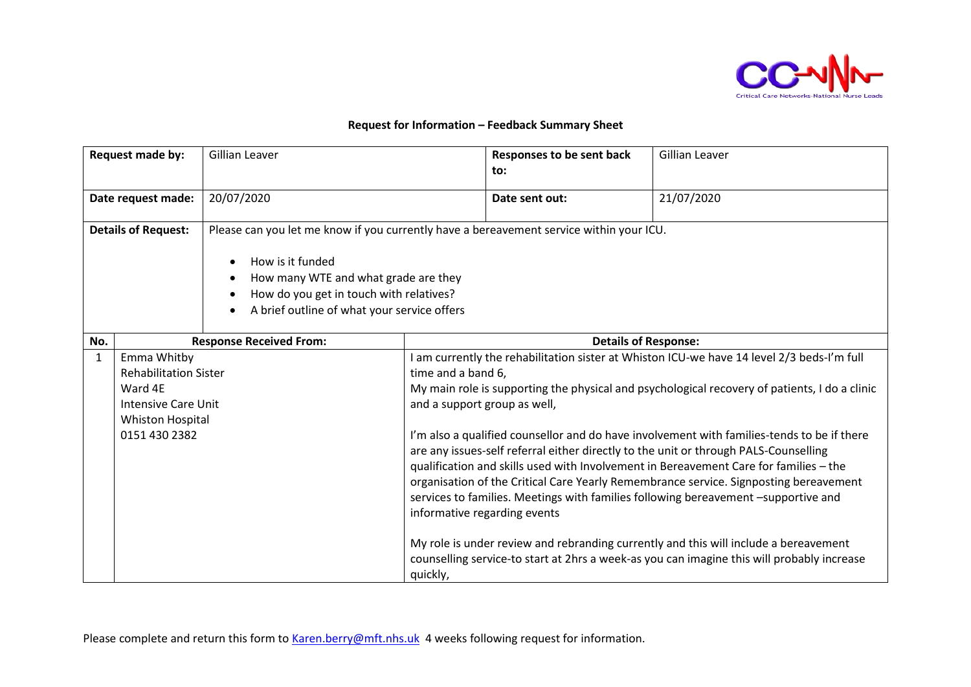

## **Request for Information – Feedback Summary Sheet**

|                    | Request made by:                                                                                                   | Gillian Leaver                                                                                                                                                                                                                                |                                                                                    | Responses to be sent back<br>to: | <b>Gillian Leaver</b>                                                                                                                                                                                                                                                                                                                                                                                                                                                                                                                                                                                                                                                                                                                                                                                                                         |
|--------------------|--------------------------------------------------------------------------------------------------------------------|-----------------------------------------------------------------------------------------------------------------------------------------------------------------------------------------------------------------------------------------------|------------------------------------------------------------------------------------|----------------------------------|-----------------------------------------------------------------------------------------------------------------------------------------------------------------------------------------------------------------------------------------------------------------------------------------------------------------------------------------------------------------------------------------------------------------------------------------------------------------------------------------------------------------------------------------------------------------------------------------------------------------------------------------------------------------------------------------------------------------------------------------------------------------------------------------------------------------------------------------------|
| Date request made: |                                                                                                                    | 20/07/2020                                                                                                                                                                                                                                    |                                                                                    | Date sent out:                   | 21/07/2020                                                                                                                                                                                                                                                                                                                                                                                                                                                                                                                                                                                                                                                                                                                                                                                                                                    |
|                    | <b>Details of Request:</b>                                                                                         | Please can you let me know if you currently have a bereavement service within your ICU.<br>How is it funded<br>How many WTE and what grade are they<br>How do you get in touch with relatives?<br>A brief outline of what your service offers |                                                                                    |                                  |                                                                                                                                                                                                                                                                                                                                                                                                                                                                                                                                                                                                                                                                                                                                                                                                                                               |
| No.                |                                                                                                                    | <b>Response Received From:</b>                                                                                                                                                                                                                |                                                                                    |                                  | <b>Details of Response:</b>                                                                                                                                                                                                                                                                                                                                                                                                                                                                                                                                                                                                                                                                                                                                                                                                                   |
| 1                  | Emma Whitby<br><b>Rehabilitation Sister</b><br>Ward 4E<br>Intensive Care Unit<br>Whiston Hospital<br>0151 430 2382 |                                                                                                                                                                                                                                               | time and a band 6,<br>and a support group as well,<br>informative regarding events |                                  | am currently the rehabilitation sister at Whiston ICU-we have 14 level 2/3 beds-I'm full<br>My main role is supporting the physical and psychological recovery of patients, I do a clinic<br>I'm also a qualified counsellor and do have involvement with families-tends to be if there<br>are any issues-self referral either directly to the unit or through PALS-Counselling<br>qualification and skills used with Involvement in Bereavement Care for families - the<br>organisation of the Critical Care Yearly Remembrance service. Signposting bereavement<br>services to families. Meetings with families following bereavement -supportive and<br>My role is under review and rebranding currently and this will include a bereavement<br>counselling service-to start at 2hrs a week-as you can imagine this will probably increase |

Please complete and return this form to [Karen.berry@mft.nhs.uk](mailto:Karen.berry@mft.nhs.uk) 4 weeks following request for information.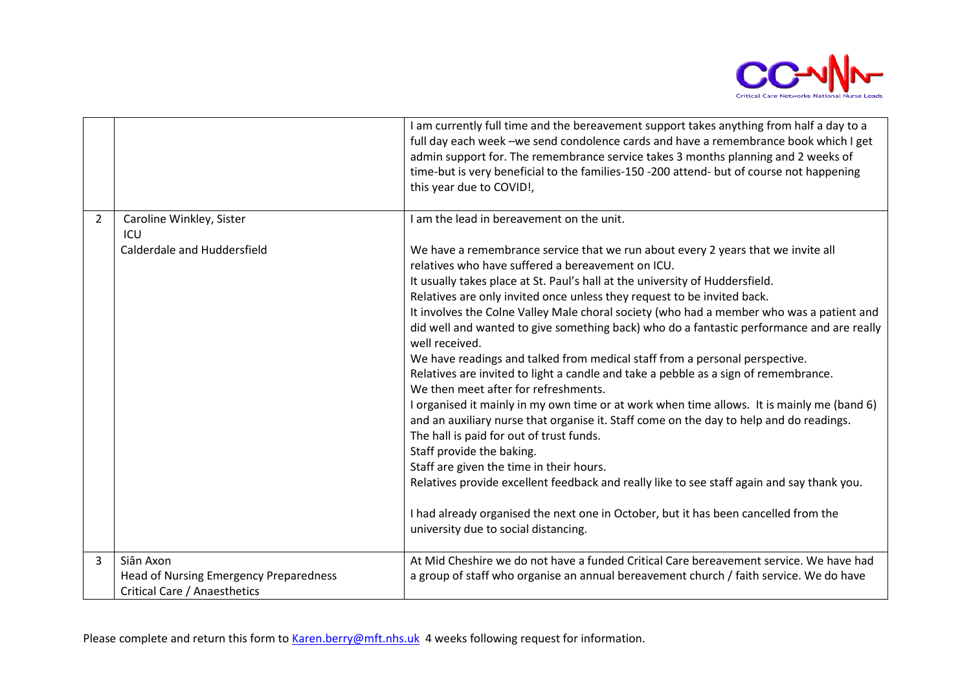

|                |                                                     | I am currently full time and the bereavement support takes anything from half a day to a<br>full day each week -we send condolence cards and have a remembrance book which I get<br>admin support for. The remembrance service takes 3 months planning and 2 weeks of<br>time-but is very beneficial to the families-150 -200 attend- but of course not happening<br>this year due to COVID!,                                                                                                                                                                                                                                                                                                                                                                                                                                                                                                                                                                                                                                                                                                                                                                                                                                                                        |
|----------------|-----------------------------------------------------|----------------------------------------------------------------------------------------------------------------------------------------------------------------------------------------------------------------------------------------------------------------------------------------------------------------------------------------------------------------------------------------------------------------------------------------------------------------------------------------------------------------------------------------------------------------------------------------------------------------------------------------------------------------------------------------------------------------------------------------------------------------------------------------------------------------------------------------------------------------------------------------------------------------------------------------------------------------------------------------------------------------------------------------------------------------------------------------------------------------------------------------------------------------------------------------------------------------------------------------------------------------------|
| $\overline{2}$ | Caroline Winkley, Sister<br>ICU                     | I am the lead in bereavement on the unit.                                                                                                                                                                                                                                                                                                                                                                                                                                                                                                                                                                                                                                                                                                                                                                                                                                                                                                                                                                                                                                                                                                                                                                                                                            |
|                | Calderdale and Huddersfield                         | We have a remembrance service that we run about every 2 years that we invite all<br>relatives who have suffered a bereavement on ICU.<br>It usually takes place at St. Paul's hall at the university of Huddersfield.<br>Relatives are only invited once unless they request to be invited back.<br>It involves the Colne Valley Male choral society (who had a member who was a patient and<br>did well and wanted to give something back) who do a fantastic performance and are really<br>well received.<br>We have readings and talked from medical staff from a personal perspective.<br>Relatives are invited to light a candle and take a pebble as a sign of remembrance.<br>We then meet after for refreshments.<br>I organised it mainly in my own time or at work when time allows. It is mainly me (band 6)<br>and an auxiliary nurse that organise it. Staff come on the day to help and do readings.<br>The hall is paid for out of trust funds.<br>Staff provide the baking.<br>Staff are given the time in their hours.<br>Relatives provide excellent feedback and really like to see staff again and say thank you.<br>I had already organised the next one in October, but it has been cancelled from the<br>university due to social distancing. |
| 3              | Siân Axon<br>Head of Nursing Emergency Preparedness | At Mid Cheshire we do not have a funded Critical Care bereavement service. We have had<br>a group of staff who organise an annual bereavement church / faith service. We do have                                                                                                                                                                                                                                                                                                                                                                                                                                                                                                                                                                                                                                                                                                                                                                                                                                                                                                                                                                                                                                                                                     |
|                | Critical Care / Anaesthetics                        |                                                                                                                                                                                                                                                                                                                                                                                                                                                                                                                                                                                                                                                                                                                                                                                                                                                                                                                                                                                                                                                                                                                                                                                                                                                                      |

Please complete and return this form to [Karen.berry@mft.nhs.uk](mailto:Karen.berry@mft.nhs.uk) 4 weeks following request for information.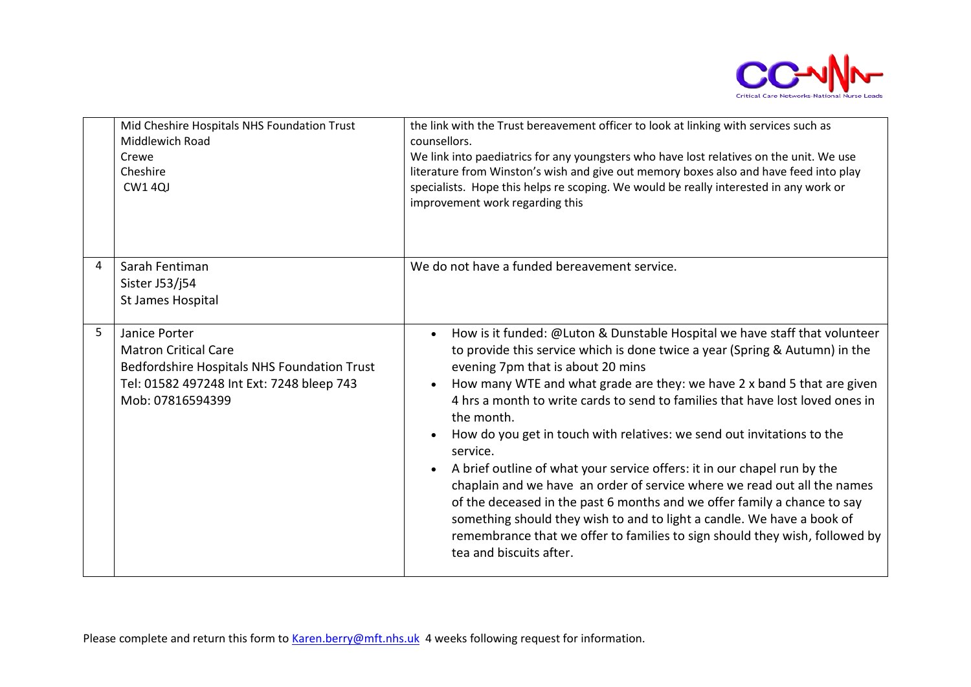

|   | Mid Cheshire Hospitals NHS Foundation Trust<br>Middlewich Road<br>Crewe<br>Cheshire<br><b>CW1 4QJ</b>                                                        | the link with the Trust bereavement officer to look at linking with services such as<br>counsellors.<br>We link into paediatrics for any youngsters who have lost relatives on the unit. We use<br>literature from Winston's wish and give out memory boxes also and have feed into play<br>specialists. Hope this helps re scoping. We would be really interested in any work or<br>improvement work regarding this                                                                                                                                                                                                                                                                                                                                                                                                                                                                                             |
|---|--------------------------------------------------------------------------------------------------------------------------------------------------------------|------------------------------------------------------------------------------------------------------------------------------------------------------------------------------------------------------------------------------------------------------------------------------------------------------------------------------------------------------------------------------------------------------------------------------------------------------------------------------------------------------------------------------------------------------------------------------------------------------------------------------------------------------------------------------------------------------------------------------------------------------------------------------------------------------------------------------------------------------------------------------------------------------------------|
| 4 | Sarah Fentiman<br>Sister J53/j54<br>St James Hospital                                                                                                        | We do not have a funded bereavement service.                                                                                                                                                                                                                                                                                                                                                                                                                                                                                                                                                                                                                                                                                                                                                                                                                                                                     |
| 5 | Janice Porter<br><b>Matron Critical Care</b><br>Bedfordshire Hospitals NHS Foundation Trust<br>Tel: 01582 497248 Int Ext: 7248 bleep 743<br>Mob: 07816594399 | How is it funded: @Luton & Dunstable Hospital we have staff that volunteer<br>to provide this service which is done twice a year (Spring & Autumn) in the<br>evening 7pm that is about 20 mins<br>How many WTE and what grade are they: we have 2 x band 5 that are given<br>4 hrs a month to write cards to send to families that have lost loved ones in<br>the month.<br>How do you get in touch with relatives: we send out invitations to the<br>$\bullet$<br>service.<br>A brief outline of what your service offers: it in our chapel run by the<br>$\bullet$<br>chaplain and we have an order of service where we read out all the names<br>of the deceased in the past 6 months and we offer family a chance to say<br>something should they wish to and to light a candle. We have a book of<br>remembrance that we offer to families to sign should they wish, followed by<br>tea and biscuits after. |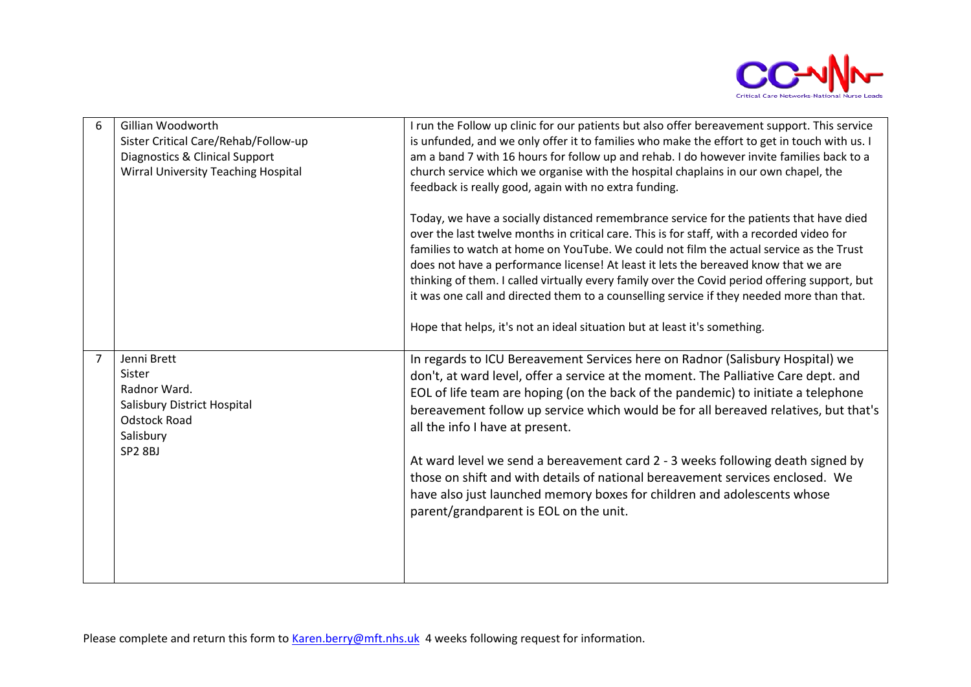

| 6 | Gillian Woodworth<br>Sister Critical Care/Rehab/Follow-up<br><b>Diagnostics &amp; Clinical Support</b><br><b>Wirral University Teaching Hospital</b> | I run the Follow up clinic for our patients but also offer bereavement support. This service<br>is unfunded, and we only offer it to families who make the effort to get in touch with us. I<br>am a band 7 with 16 hours for follow up and rehab. I do however invite families back to a<br>church service which we organise with the hospital chaplains in our own chapel, the<br>feedback is really good, again with no extra funding.<br>Today, we have a socially distanced remembrance service for the patients that have died<br>over the last twelve months in critical care. This is for staff, with a recorded video for<br>families to watch at home on YouTube. We could not film the actual service as the Trust<br>does not have a performance license! At least it lets the bereaved know that we are |
|---|------------------------------------------------------------------------------------------------------------------------------------------------------|----------------------------------------------------------------------------------------------------------------------------------------------------------------------------------------------------------------------------------------------------------------------------------------------------------------------------------------------------------------------------------------------------------------------------------------------------------------------------------------------------------------------------------------------------------------------------------------------------------------------------------------------------------------------------------------------------------------------------------------------------------------------------------------------------------------------|
| 7 | Jenni Brett                                                                                                                                          | thinking of them. I called virtually every family over the Covid period offering support, but<br>it was one call and directed them to a counselling service if they needed more than that.<br>Hope that helps, it's not an ideal situation but at least it's something.<br>In regards to ICU Bereavement Services here on Radnor (Salisbury Hospital) we                                                                                                                                                                                                                                                                                                                                                                                                                                                             |
|   | Sister<br>Radnor Ward.<br>Salisbury District Hospital<br><b>Odstock Road</b><br>Salisbury<br>SP <sub>2</sub> 8BJ                                     | don't, at ward level, offer a service at the moment. The Palliative Care dept. and<br>EOL of life team are hoping (on the back of the pandemic) to initiate a telephone<br>bereavement follow up service which would be for all bereaved relatives, but that's<br>all the info I have at present.                                                                                                                                                                                                                                                                                                                                                                                                                                                                                                                    |
|   |                                                                                                                                                      | At ward level we send a bereavement card 2 - 3 weeks following death signed by<br>those on shift and with details of national bereavement services enclosed. We<br>have also just launched memory boxes for children and adolescents whose<br>parent/grandparent is EOL on the unit.                                                                                                                                                                                                                                                                                                                                                                                                                                                                                                                                 |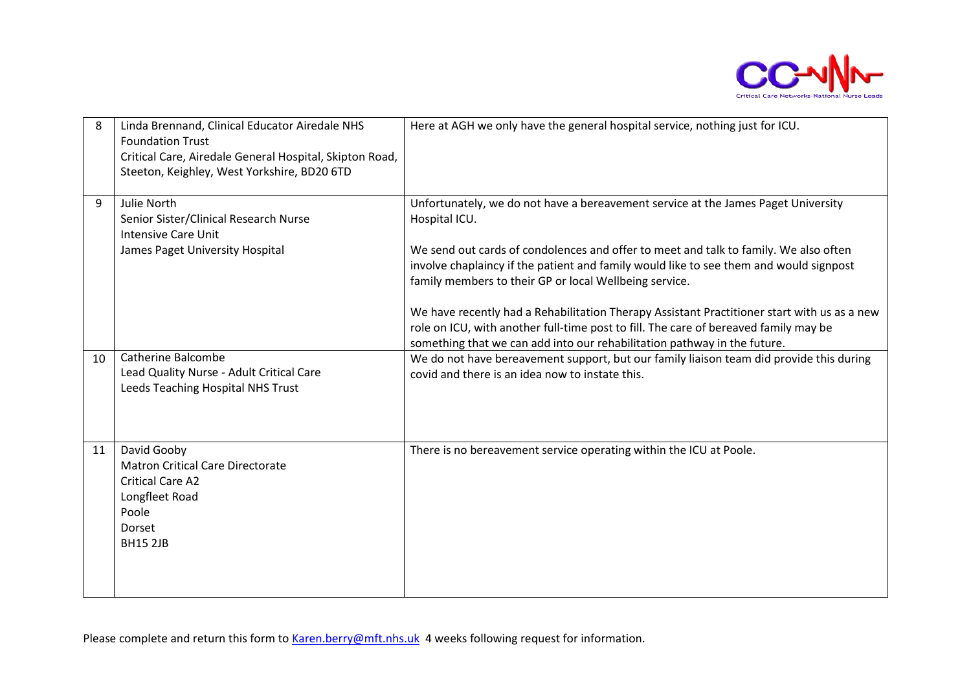

| 8  | Linda Brennand, Clinical Educator Airedale NHS<br><b>Foundation Trust</b><br>Critical Care, Airedale General Hospital, Skipton Road,<br>Steeton, Keighley, West Yorkshire, BD20 6TD | Here at AGH we only have the general hospital service, nothing just for ICU.                                                                                                                                                                                                                                                                                                                                                                                                                                                                                                                                      |
|----|-------------------------------------------------------------------------------------------------------------------------------------------------------------------------------------|-------------------------------------------------------------------------------------------------------------------------------------------------------------------------------------------------------------------------------------------------------------------------------------------------------------------------------------------------------------------------------------------------------------------------------------------------------------------------------------------------------------------------------------------------------------------------------------------------------------------|
| 9  | Julie North<br>Senior Sister/Clinical Research Nurse<br><b>Intensive Care Unit</b><br>James Paget University Hospital                                                               | Unfortunately, we do not have a bereavement service at the James Paget University<br>Hospital ICU.<br>We send out cards of condolences and offer to meet and talk to family. We also often<br>involve chaplaincy if the patient and family would like to see them and would signpost<br>family members to their GP or local Wellbeing service.<br>We have recently had a Rehabilitation Therapy Assistant Practitioner start with us as a new<br>role on ICU, with another full-time post to fill. The care of bereaved family may be<br>something that we can add into our rehabilitation pathway in the future. |
| 10 | <b>Catherine Balcombe</b><br>Lead Quality Nurse - Adult Critical Care<br>Leeds Teaching Hospital NHS Trust                                                                          | We do not have bereavement support, but our family liaison team did provide this during<br>covid and there is an idea now to instate this.                                                                                                                                                                                                                                                                                                                                                                                                                                                                        |
| 11 | David Gooby<br><b>Matron Critical Care Directorate</b><br><b>Critical Care A2</b><br>Longfleet Road<br>Poole<br>Dorset<br><b>BH15 2JB</b>                                           | There is no bereavement service operating within the ICU at Poole.                                                                                                                                                                                                                                                                                                                                                                                                                                                                                                                                                |

Please complete and return this form to [Karen.berry@mft.nhs.uk](mailto:Karen.berry@mft.nhs.uk) 4 weeks following request for information.